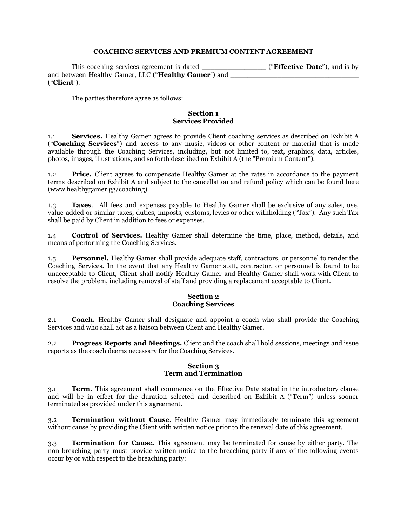### **COACHING SERVICES AND PREMIUM CONTENT AGREEMENT**

This coaching services agreement is dated \_\_\_\_\_\_\_\_\_\_\_\_\_\_\_ ("**Effective Date**"), and is by and between Healthy Gamer, LLC ("**Healthy Gamer**") and ("**Client**").

The parties therefore agree as follows:

#### **Section 1 Services Provided**

1.1 **Services.** Healthy Gamer agrees to provide Client coaching services as described on Exhibit A ("**Coaching Services**") and access to any music, videos or other content or material that is made available through the Coaching Services, including, but not limited to, text, graphics, data, articles, photos, images, illustrations, and so forth described on Exhibit A (the "Premium Content").

1.2 **Price.** Client agrees to compensate Healthy Gamer at the rates in accordance to the payment terms described on Exhibit A and subject to the cancellation and refund policy which can be found here (www.healthygamer.gg/coaching).

1.3 **Taxes**. All fees and expenses payable to Healthy Gamer shall be exclusive of any sales, use, value-added or similar taxes, duties, imposts, customs, levies or other withholding ("Tax"). Any such Tax shall be paid by Client in addition to fees or expenses.

1.4 **Control of Services.** Healthy Gamer shall determine the time, place, method, details, and means of performing the Coaching Services.

1.5 **Personnel.** Healthy Gamer shall provide adequate staff, contractors, or personnel to render the Coaching Services. In the event that any Healthy Gamer staff, contractor, or personnel is found to be unacceptable to Client, Client shall notify Healthy Gamer and Healthy Gamer shall work with Client to resolve the problem, including removal of staff and providing a replacement acceptable to Client.

### **Section 2 Coaching Services**

2.1 **Coach.** Healthy Gamer shall designate and appoint a coach who shall provide the Coaching Services and who shall act as a liaison between Client and Healthy Gamer.

2.2 **Progress Reports and Meetings.** Client and the coach shall hold sessions, meetings and issue reports as the coach deems necessary for the Coaching Services.

#### **Section 3 Term and Termination**

3.1 **Term.** This agreement shall commence on the Effective Date stated in the introductory clause and will be in effect for the duration selected and described on Exhibit A ("Term") unless sooner terminated as provided under this agreement.

3.2 **Termination without Cause**. Healthy Gamer may immediately terminate this agreement without cause by providing the Client with written notice prior to the renewal date of this agreement.

3.3 **Termination for Cause.** This agreement may be terminated for cause by either party. The non-breaching party must provide written notice to the breaching party if any of the following events occur by or with respect to the breaching party: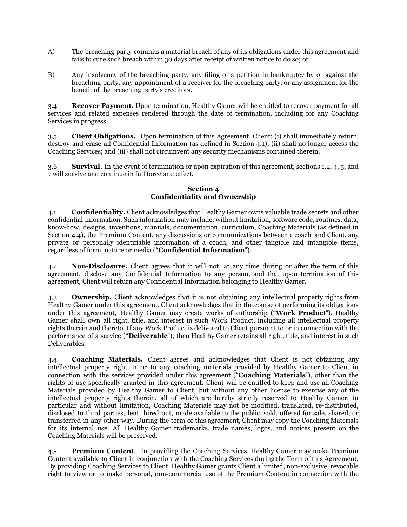- A) The breaching party commits a material breach of any of its obligations under this agreement and fails to cure such breach within 30 days after receipt of written notice to do so; or
- B) Any insolvency of the breaching party, any filing of a petition in bankruptcy by or against the breaching party, any appointment of a receiver for the breaching party, or any assignment for the benefit of the breaching party's creditors.

3.4 **Recover Payment.** Upon termination, Healthy Gamer will be entitled to recover payment for all services and related expenses rendered through the date of termination, including for any Coaching Services in progress.

3.5 **Client Obligations.** Upon termination of this Agreement, Client: (i) shall immediately return, destroy and erase all Confidential Information (as defined in Section 4.1); (ii) shall no longer access the Coaching Services; and (iii) shall not circumvent any security mechanisms contained therein.

3.6 **Survival.** In the event of termination or upon expiration of this agreement, sections 1.2, 4, 5, and 7 will survive and continue in full force and effect.

## **Section 4 Confidentiality and Ownership**

4.1 **Confidentiality.** Client acknowledges that Healthy Gamer owns valuable trade secrets and other confidential information. Such information may include, without limitation, software code, routines, data, know-how, designs, inventions, manuals, documentation, curriculum, Coaching Materials (as defined in Section 4.4), the Premium Content, any discussions or communications between a coach and Client, any private or personally identifiable information of a coach, and other tangible and intangible items, regardless of form, nature or media ("**Confidential Information**").

4.2 **Non-Disclosure.** Client agrees that it will not, at any time during or after the term of this agreement, disclose any Confidential Information to any person, and that upon termination of this agreement, Client will return any Confidential Information belonging to Healthy Gamer.

4.3 **Ownership.** Client acknowledges that it is not obtaining any intellectual property rights from Healthy Gamer under this agreement. Client acknowledges that in the course of performing its obligations under this agreement, Healthy Gamer may create works of authorship ("**Work Product**"). Healthy Gamer shall own all right, title, and interest in such Work Product, including all intellectual property rights therein and thereto. If any Work Product is delivered to Client pursuant to or in connection with the performance of a service ("**Deliverable**"), then Healthy Gamer retains all right, title, and interest in such Deliverables.

4.4 **Coaching Materials.** Client agrees and acknowledges that Client is not obtaining any intellectual property right in or to any coaching materials provided by Healthy Gamer to Client in connection with the services provided under this agreement ("**Coaching Materials**"), other than the rights of use specifically granted in this agreement. Client will be entitled to keep and use all Coaching Materials provided by Healthy Gamer to Client, but without any other license to exercise any of the intellectual property rights therein, all of which are hereby strictly reserved to Healthy Gamer. In particular and without limitation, Coaching Materials may not be modified, translated, re-distributed, disclosed to third parties, lent, hired out, made available to the public, sold, offered for sale, shared, or transferred in any other way. During the term of this agreement, Client may copy the Coaching Materials for its internal use. All Healthy Gamer trademarks, trade names, logos, and notices present on the Coaching Materials will be preserved.

4.5 **Premium Content**. In providing the Coaching Services, Healthy Gamer may make Premium Content available to Client in conjunction with the Coaching Services during the Term of this Agreement. By providing Coaching Services to Client, Healthy Gamer grants Client a limited, non-exclusive, revocable right to view or to make personal, non-commercial use of the Premium Content in connection with the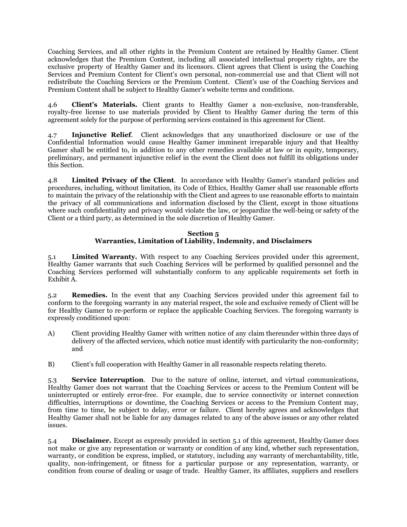Coaching Services, and all other rights in the Premium Content are retained by Healthy Gamer. Client acknowledges that the Premium Content, including all associated intellectual property rights, are the exclusive property of Healthy Gamer and its licensors. Client agrees that Client is using the Coaching Services and Premium Content for Client's own personal, non-commercial use and that Client will not redistribute the Coaching Services or the Premium Content. Client's use of the Coaching Services and Premium Content shall be subject to Healthy Gamer's website terms and conditions.

4.6 **Client's Materials.** Client grants to Healthy Gamer a non-exclusive, non-transferable, royalty-free license to use materials provided by Client to Healthy Gamer during the term of this agreement solely for the purpose of performing services contained in this agreement for Client.

4.7 **Injunctive Relief**. Client acknowledges that any unauthorized disclosure or use of the Confidential Information would cause Healthy Gamer imminent irreparable injury and that Healthy Gamer shall be entitled to, in addition to any other remedies available at law or in equity, temporary, preliminary, and permanent injunctive relief in the event the Client does not fulfill its obligations under this Section.

4.8 **Limited Privacy of the Client**. In accordance with Healthy Gamer's standard policies and procedures, including, without limitation, its Code of Ethics, Healthy Gamer shall use reasonable efforts to maintain the privacy of the relationship with the Client and agrees to use reasonable efforts to maintain the privacy of all communications and information disclosed by the Client, except in those situations where such confidentiality and privacy would violate the law, or jeopardize the well-being or safety of the Client or a third party, as determined in the sole discretion of Healthy Gamer.

# **Section 5 Warranties, Limitation of Liability, Indemnity, and Disclaimers**

5.1 **Limited Warranty.** With respect to any Coaching Services provided under this agreement, Healthy Gamer warrants that such Coaching Services will be performed by qualified personnel and the Coaching Services performed will substantially conform to any applicable requirements set forth in Exhibit A.

5.2 **Remedies.** In the event that any Coaching Services provided under this agreement fail to conform to the foregoing warranty in any material respect, the sole and exclusive remedy of Client will be for Healthy Gamer to re-perform or replace the applicable Coaching Services. The foregoing warranty is expressly conditioned upon:

- A) Client providing Healthy Gamer with written notice of any claim thereunder within three days of delivery of the affected services, which notice must identify with particularity the non-conformity; and
- B) Client's full cooperation with Healthy Gamer in all reasonable respects relating thereto.

5.3 **Service Interruption**. Due to the nature of online, internet, and virtual communications, Healthy Gamer does not warrant that the Coaching Services or access to the Premium Content will be uninterrupted or entirely error-free. For example, due to service connectivity or internet connection difficulties, interruptions or downtime, the Coaching Services or access to the Premium Content may, from time to time, be subject to delay, error or failure. Client hereby agrees and acknowledges that Healthy Gamer shall not be liable for any damages related to any of the above issues or any other related issues.

5.4 **Disclaimer.** Except as expressly provided in section 5.1 of this agreement, Healthy Gamer does not make or give any representation or warranty or condition of any kind, whether such representation, warranty, or condition be express, implied, or statutory, including any warranty of merchantability, title, quality, non-infringement, or fitness for a particular purpose or any representation, warranty, or condition from course of dealing or usage of trade. Healthy Gamer, its affiliates, suppliers and resellers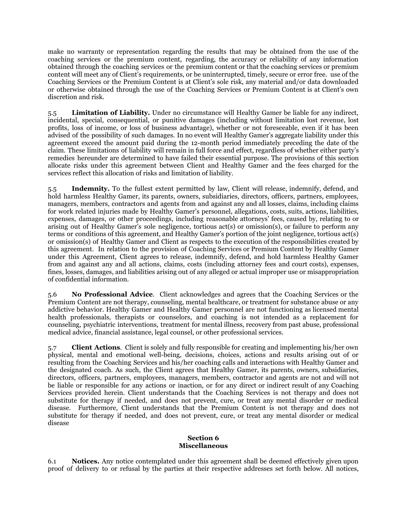make no warranty or representation regarding the results that may be obtained from the use of the coaching services or the premium content, regarding, the accuracy or reliability of any information obtained through the coaching services or the premium content or that the coaching services or premium content will meet any of Client's requirements, or be uninterrupted, timely, secure or error free. use of the Coaching Services or the Premium Content is at Client's sole risk, any material and/or data downloaded or otherwise obtained through the use of the Coaching Services or Premium Content is at Client's own discretion and risk.

5.5 **Limitation of Liability.** Under no circumstance will Healthy Gamer be liable for any indirect, incidental, special, consequential, or punitive damages (including without limitation lost revenue, lost profits, loss of income, or loss of business advantage), whether or not foreseeable, even if it has been advised of the possibility of such damages. In no event will Healthy Gamer's aggregate liability under this agreement exceed the amount paid during the 12-month period immediately preceding the date of the claim. These limitations of liability will remain in full force and effect, regardless of whether either party's remedies hereunder are determined to have failed their essential purpose. The provisions of this section allocate risks under this agreement between Client and Healthy Gamer and the fees charged for the services reflect this allocation of risks and limitation of liability.

5.5 **Indemnity.** To the fullest extent permitted by law, Client will release, indemnify, defend, and hold harmless Healthy Gamer, its parents, owners, subsidiaries, directors, officers, partners, employees, managers, members, contractors and agents from and against any and all losses, claims, including claims for work related injuries made by Healthy Gamer's personnel, allegations, costs, suits, actions, liabilities, expenses, damages, or other proceedings, including reasonable attorneys' fees, caused by, relating to or arising out of Healthy Gamer's sole negligence, tortious act(s) or omission(s), or failure to perform any terms or conditions of this agreement, and Healthy Gamer's portion of the joint negligence, tortious act(s) or omission(s) of Healthy Gamer and Client as respects to the execution of the responsibilities created by this agreement. In relation to the provision of Coaching Services or Premium Content by Healthy Gamer under this Agreement, Client agrees to release, indemnify, defend, and hold harmless Healthy Gamer from and against any and all actions, claims, costs (including attorney fees and court costs), expenses, fines, losses, damages, and liabilities arising out of any alleged or actual improper use or misappropriation of confidential information.

5.6 **No Professional Advice**. Client acknowledges and agrees that the Coaching Services or the Premium Content are not therapy, counseling, mental healthcare, or treatment for substance abuse or any addictive behavior. Healthy Gamer and Healthy Gamer personnel are not functioning as licensed mental health professionals, therapists or counselors, and coaching is not intended as a replacement for counseling, psychiatric interventions, treatment for mental illness, recovery from past abuse, professional medical advice, financial assistance, legal counsel, or other professional services.

5.7 **Client Actions**. Client is solely and fully responsible for creating and implementing his/her own physical, mental and emotional well-being, decisions, choices, actions and results arising out of or resulting from the Coaching Services and his/her coaching calls and interactions with Healthy Gamer and the designated coach. As such, the Client agrees that Healthy Gamer, its parents, owners, subsidiaries, directors, officers, partners, employees, managers, members, contractor and agents are not and will not be liable or responsible for any actions or inaction, or for any direct or indirect result of any Coaching Services provided herein. Client understands that the Coaching Services is not therapy and does not substitute for therapy if needed, and does not prevent, cure, or treat any mental disorder or medical disease. Furthermore, Client understands that the Premium Content is not therapy and does not substitute for therapy if needed, and does not prevent, cure, or treat any mental disorder or medical disease

### **Section 6 Miscellaneous**

6.1 **Notices.** Any notice contemplated under this agreement shall be deemed effectively given upon proof of delivery to or refusal by the parties at their respective addresses set forth below. All notices,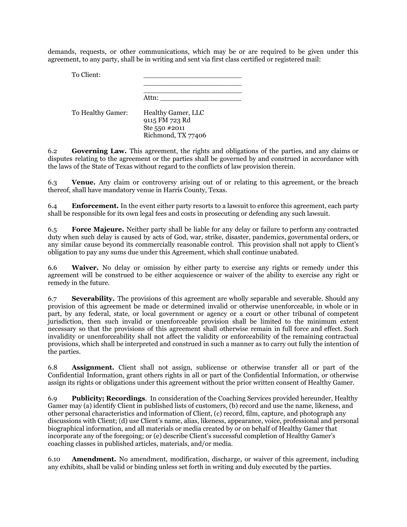demands, requests, or other communications, which may be or are required to be given under this agreement, to any party, shall be in writing and sent via first class certified or registered mail:

To Client:

\_\_\_\_\_\_\_\_\_\_\_\_\_\_\_\_\_\_\_\_\_\_\_ \_\_\_\_\_\_\_\_\_\_\_\_\_\_\_\_\_\_\_\_\_\_\_

Attn:

To Healthy Gamer: Healthy Gamer, LLC 9115 FM 723 Rd Ste 550 #2011 Richmond, TX 77406

6.2 **Governing Law.** This agreement, the rights and obligations of the parties, and any claims or disputes relating to the agreement or the parties shall be governed by and construed in accordance with the laws of the State of Texas without regard to the conflicts of law provision therein.

6.3 **Venue.** Any claim or controversy arising out of or relating to this agreement, or the breach thereof, shall have mandatory venue in Harris County, Texas.

6.4 **Enforcement.** In the event either party resorts to a lawsuit to enforce this agreement, each party shall be responsible for its own legal fees and costs in prosecuting or defending any such lawsuit.

6.5 **Force Majeure.** Neither party shall be liable for any delay or failure to perform any contracted duty when such delay is caused by acts of God, war, strike, disaster, pandemics, governmental orders, or any similar cause beyond its commercially reasonable control. This provision shall not apply to Client's obligation to pay any sums due under this Agreement, which shall continue unabated.

6.6 **Waiver.** No delay or omission by either party to exercise any rights or remedy under this agreement will be construed to be either acquiescence or waiver of the ability to exercise any right or remedy in the future.

6.7 **Severability.** The provisions of this agreement are wholly separable and severable. Should any provision of this agreement be made or determined invalid or otherwise unenforceable, in whole or in part, by any federal, state, or local government or agency or a court or other tribunal of competent jurisdiction, then such invalid or unenforceable provision shall be limited to the minimum extent necessary so that the provisions of this agreement shall otherwise remain in full force and effect. Such invalidity or unenforceability shall not affect the validity or enforceability of the remaining contractual provisions, which shall be interpreted and construed in such a manner as to carry out fully the intention of the parties.

6.8 **Assignment.** Client shall not assign, sublicense or otherwise transfer all or part of the Confidential Information, grant others rights in all or part of the Confidential Information, or otherwise assign its rights or obligations under this agreement without the prior written consent of Healthy Gamer.

6.9 **Publicity; Recordings**. In consideration of the Coaching Services provided hereunder, Healthy Gamer may (a) identify Client in published lists of customers, (b) record and use the name, likeness, and other personal characteristics and information of Client, (c) record, film, capture, and photograph any discussions with Client; (d) use Client's name, alias, likeness, appearance, voice, professional and personal biographical information, and all materials or media created by or on behalf of Healthy Gamer that incorporate any of the foregoing; or (e) describe Client's successful completion of Healthy Gamer's coaching classes in published articles, materials, and/or media.

6.10 **Amendment.** No amendment, modification, discharge, or waiver of this agreement, including any exhibits, shall be valid or binding unless set forth in writing and duly executed by the parties.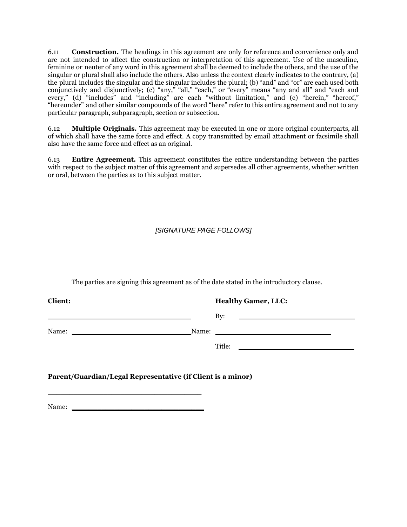6.11 **Construction.** The headings in this agreement are only for reference and convenience only and are not intended to affect the construction or interpretation of this agreement. Use of the masculine, feminine or neuter of any word in this agreement shall be deemed to include the others, and the use of the singular or plural shall also include the others. Also unless the context clearly indicates to the contrary, (a) the plural includes the singular and the singular includes the plural; (b) "and" and "or" are each used both conjunctively and disjunctively; (c) "any," "all," "each," or "every" means "any and all" and "each and every," (d) "includes" and "including" are each "without limitation," and (e) "herein," "hereof," "hereunder" and other similar compounds of the word "here" refer to this entire agreement and not to any particular paragraph, subparagraph, section or subsection.

6.12 **Multiple Originals.** This agreement may be executed in one or more original counterparts, all of which shall have the same force and effect. A copy transmitted by email attachment or facsimile shall also have the same force and effect as an original.

6.13 **Entire Agreement.** This agreement constitutes the entire understanding between the parties with respect to the subject matter of this agreement and supersedes all other agreements, whether written or oral, between the parties as to this subject matter.

*[SIGNATURE PAGE FOLLOWS]*

The parties are signing this agreement as of the date stated in the introductory clause.

**Client: Healthy Gamer, LLC:**  $\text{By:}$ Name: The contraction of the Name:  $\blacksquare$ Title: \_\_\_\_\_\_\_\_\_\_\_\_\_\_\_\_\_\_\_\_\_\_\_\_\_\_\_

**Parent/Guardian/Legal Representative (if Client is a minor)**

Name:

\_\_\_\_\_\_\_\_\_\_\_\_\_\_\_\_\_\_\_\_\_\_\_\_\_\_\_\_\_\_\_\_\_\_\_\_